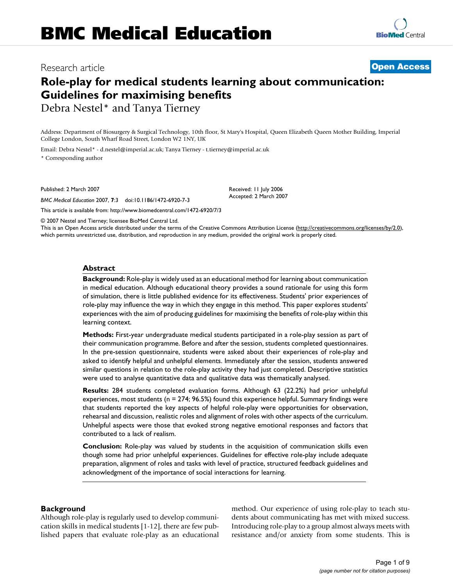# **[BioMed](http://www.biomedcentral.com/)** Central

### Research article **[Open Access](http://www.biomedcentral.com/info/about/charter/)**

## **Role-play for medical students learning about communication: Guidelines for maximising benefits**

Debra Nestel\* and Tanya Tierney

Address: Department of Biosurgery & Surgical Technology, 10th floor, St Mary's Hospital, Queen Elizabeth Queen Mother Building, Imperial College London, South Wharf Road Street, London W2 1NY, UK

Email: Debra Nestel\* - d.nestel@imperial.ac.uk; Tanya Tierney - t.tierney@imperial.ac.uk

\* Corresponding author

Published: 2 March 2007

*BMC Medical Education* 2007, **7**:3 doi:10.1186/1472-6920-7-3

[This article is available from: http://www.biomedcentral.com/1472-6920/7/3](http://www.biomedcentral.com/1472-6920/7/3)

© 2007 Nestel and Tierney; licensee BioMed Central Ltd.

This is an Open Access article distributed under the terms of the Creative Commons Attribution License [\(http://creativecommons.org/licenses/by/2.0\)](http://creativecommons.org/licenses/by/2.0), which permits unrestricted use, distribution, and reproduction in any medium, provided the original work is properly cited.

Received: 11 July 2006 Accepted: 2 March 2007

#### **Abstract**

**Background:** Role-play is widely used as an educational method for learning about communication in medical education. Although educational theory provides a sound rationale for using this form of simulation, there is little published evidence for its effectiveness. Students' prior experiences of role-play may influence the way in which they engage in this method. This paper explores students' experiences with the aim of producing guidelines for maximising the benefits of role-play within this learning context.

**Methods:** First-year undergraduate medical students participated in a role-play session as part of their communication programme. Before and after the session, students completed questionnaires. In the pre-session questionnaire, students were asked about their experiences of role-play and asked to identify helpful and unhelpful elements. Immediately after the session, students answered similar questions in relation to the role-play activity they had just completed. Descriptive statistics were used to analyse quantitative data and qualitative data was thematically analysed.

**Results:** 284 students completed evaluation forms. Although 63 (22.2%) had prior unhelpful experiences, most students (n = 274; 96.5%) found this experience helpful. Summary findings were that students reported the key aspects of helpful role-play were opportunities for observation, rehearsal and discussion, realistic roles and alignment of roles with other aspects of the curriculum. Unhelpful aspects were those that evoked strong negative emotional responses and factors that contributed to a lack of realism.

**Conclusion:** Role-play was valued by students in the acquisition of communication skills even though some had prior unhelpful experiences. Guidelines for effective role-play include adequate preparation, alignment of roles and tasks with level of practice, structured feedback guidelines and acknowledgment of the importance of social interactions for learning.

#### **Background**

Although role-play is regularly used to develop communication skills in medical students [1-12], there are few published papers that evaluate role-play as an educational method. Our experience of using role-play to teach students about communicating has met with mixed success. Introducing role-play to a group almost always meets with resistance and/or anxiety from some students. This is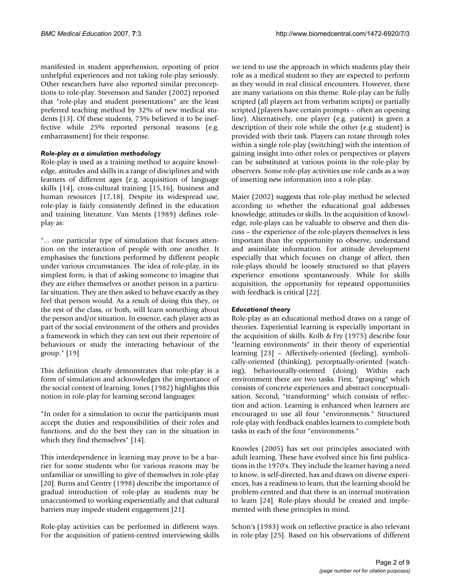manifested in student apprehension, reporting of prior unhelpful experiences and not taking role-play seriously. Other researchers have also reported similar preconceptions to role-play. Stevenson and Sander (2002) reported that "role-play and student presentations" are the least preferred teaching method by 32% of new medical students [13]. Of these students, 75% believed it to be ineffective while 25% reported personal reasons (e.g. embarrassment) for their response.

#### *Role-play as a simulation methodology*

Role-play is used as a training method to acquire knowledge, attitudes and skills in a range of disciplines and with learners of different ages (e.g. acquisition of language skills [14], cross-cultural training [15,16], business and human resources [17,18]. Despite its widespread use, role-play is fairly consistently defined in the education and training literature. Van Ments (1989) defines roleplay as:

"... one particular type of simulation that focuses attention on the interaction of people with one another. It emphasises the functions performed by different people under various circumstances. The idea of role-play, in its simplest form, is that of asking someone to imagine that they are either themselves or another person in a particular situation. They are then asked to behave exactly as they feel that person would. As a result of doing this they, or the rest of the class, or both, will learn something about the person and/or situation. In essence, each player acts as part of the social environment of the others and provides a framework in which they can test out their repertoire of behaviours or study the interacting behaviour of the group." [19]

This definition clearly demonstrates that role-play is a form of simulation and acknowledges the importance of the social context of learning. Jones (1982) highlights this notion in role-play for learning second languages:

"In order for a simulation to occur the participants must accept the duties and responsibilities of their roles and functions, and do the best they can in the situation in which they find themselves" [14].

This interdependence in learning may prove to be a barrier for some students who for various reasons may be unfamiliar or unwilling to give of themselves in role-play [20]. Burns and Gentry (1998) describe the importance of gradual introduction of role-play as students may be unaccustomed to working experientially and that cultural barriers may impede student engagement [21].

Role-play activities can be performed in different ways. For the acquisition of patient-centred interviewing skills we tend to use the approach in which students play their role as a medical student so they are expected to perform as they would in real clinical encounters. However, there are many variations on this theme. Role-play can be fully scripted (all players act from verbatim scripts) or partially scripted (players have certain prompts – often an opening line). Alternatively, one player (e.g. patient) is given a description of their role while the other (e.g. student) is provided with their task. Players can rotate through roles within a single role-play (switching) with the intention of gaining insight into other roles or perspectives or players can be substituted at various points in the role-play by observers. Some role-play activities use role cards as a way of inserting new information into a role-play.

Maier (2002) suggests that role-play method be selected according to whether the educational goal addresses knowledge, attitudes or skills. In the acquisition of knowledge, role-plays can be valuable to observe and then discuss – the experience of the role-players themselves is less important than the opportunity to observe, understand and assimilate information. For attitude development especially that which focuses on change of affect, then role-plays should be loosely structured so that players experience emotions spontaneously. While for skills acquisition, the opportunity for repeated opportunities with feedback is critical [22].

#### *Educational theory*

Role-play as an educational method draws on a range of theories. Experiential learning is especially important in the acquisition of skills. Kolb & Fry (1975) describe four "learning environments" in their theory of experiential learning [23] – Affectively-oriented (feeling), symbolically-oriented (thinking), perceptually-oriented (watching), behaviourally-oriented (doing). Within each environment there are two tasks. First, "grasping" which consists of concrete experiences and abstract conceptualisation. Second, "transforming" which consists of reflection and action. Learning is enhanced when learners are encouraged to use all four "environments." Structured role-play with feedback enables learners to complete both tasks in each of the four "environments."

Knowles (2005) has set out principles associated with adult learning. These have evolved since his first publications in the 1970's. They include the learner having a need to know, is self-directed, has and draws on diverse experiences, has a readiness to learn, that the learning should be problem-centred and that there is an internal motivation to learn [24]. Role-plays should be created and implemented with these principles in mind.

Schon's (1983) work on reflective practice is also relevant in role-play [25]. Based on his observations of different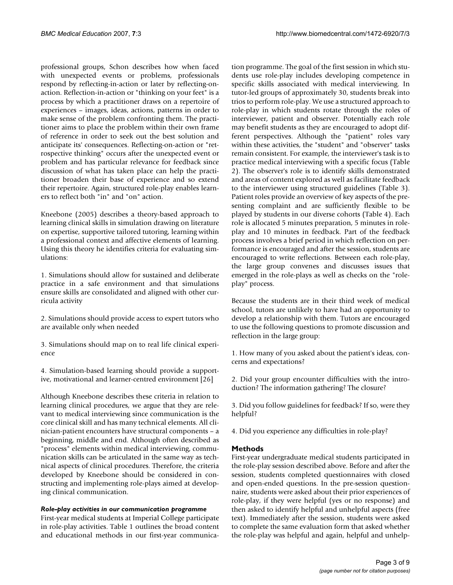professional groups, Schon describes how when faced with unexpected events or problems, professionals respond by reflecting-in-action or later by reflecting-onaction. Reflection-in-action or "thinking on your feet" is a process by which a practitioner draws on a repertoire of experiences – images, ideas, actions, patterns in order to make sense of the problem confronting them. The practitioner aims to place the problem within their own frame of reference in order to seek out the best solution and anticipate its' consequences. Reflecting-on-action or "retrospective thinking" occurs after the unexpected event or problem and has particular relevance for feedback since discussion of what has taken place can help the practitioner broaden their base of experience and so extend their repertoire. Again, structured role-play enables learners to reflect both "in" and "on" action.

Kneebone (2005) describes a theory-based approach to learning clinical skills in simulation drawing on literature on expertise, supportive tailored tutoring, learning within a professional context and affective elements of learning. Using this theory he identifies criteria for evaluating simulations:

1. Simulations should allow for sustained and deliberate practice in a safe environment and that simulations ensure skills are consolidated and aligned with other curricula activity

2. Simulations should provide access to expert tutors who are available only when needed

3. Simulations should map on to real life clinical experience

4. Simulation-based learning should provide a supportive, motivational and learner-centred environment [26]

Although Kneebone describes these criteria in relation to learning clinical procedures, we argue that they are relevant to medical interviewing since communication is the core clinical skill and has many technical elements. All clinician-patient encounters have structural components – a beginning, middle and end. Although often described as "process" elements within medical interviewing, communication skills can be articulated in the same way as technical aspects of clinical procedures. Therefore, the criteria developed by Kneebone should be considered in constructing and implementing role-plays aimed at developing clinical communication.

#### *Role-play activities in our communication programme*

First-year medical students at Imperial College participate in role-play activities. Table 1 outlines the broad content and educational methods in our first-year communication programme. The goal of the first session in which students use role-play includes developing competence in specific skills associated with medical interviewing. In tutor-led groups of approximately 30, students break into trios to perform role-play. We use a structured approach to role-play in which students rotate through the roles of interviewer, patient and observer. Potentially each role may benefit students as they are encouraged to adopt different perspectives. Although the "patient" roles vary within these activities, the "student" and "observer" tasks remain consistent. For example, the interviewer's task is to practice medical interviewing with a specific focus (Table 2). The observer's role is to identify skills demonstrated and areas of content explored as well as facilitate feedback to the interviewer using structured guidelines (Table 3). Patient roles provide an overview of key aspects of the presenting complaint and are sufficiently flexible to be played by students in our diverse cohorts (Table 4). Each role is allocated 5 minutes preparation, 5 minutes in roleplay and 10 minutes in feedback. Part of the feedback process involves a brief period in which reflection on performance is encouraged and after the session, students are encouraged to write reflections. Between each role-play, the large group convenes and discusses issues that emerged in the role-plays as well as checks on the "roleplay" process.

Because the students are in their third week of medical school, tutors are unlikely to have had an opportunity to develop a relationship with them. Tutors are encouraged to use the following questions to promote discussion and reflection in the large group:

1. How many of you asked about the patient's ideas, concerns and expectations?

2. Did your group encounter difficulties with the introduction? The information gathering? The closure?

3. Did you follow guidelines for feedback? If so, were they helpful?

4. Did you experience any difficulties in role-play?

#### **Methods**

First-year undergraduate medical students participated in the role-play session described above. Before and after the session, students completed questionnaires with closed and open-ended questions. In the pre-session questionnaire, students were asked about their prior experiences of role-play, if they were helpful (yes or no response) and then asked to identify helpful and unhelpful aspects (free text). Immediately after the session, students were asked to complete the same evaluation form that asked whether the role-play was helpful and again, helpful and unhelp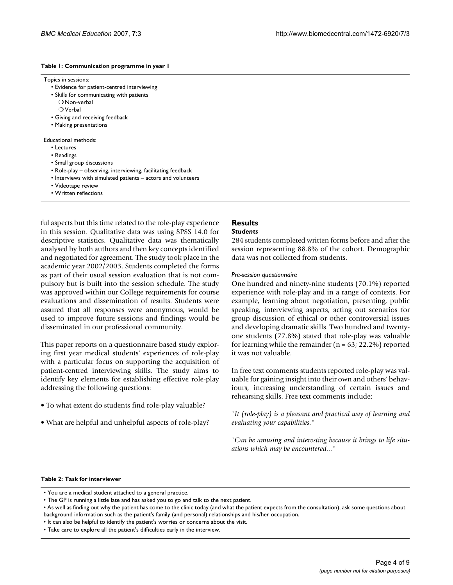Topics in sessions:

- Evidence for patient-centred interviewing
- Skills for communicating with patients
	- ❍ Non-verbal ❍ Verbal
- Giving and receiving feedback
- Making presentations

Educational methods:

- Lectures
- Readings
- Small group discussions
- Role-play observing, interviewing, facilitating feedback
- Interviews with simulated patients actors and volunteers
- Videotape review
- Written reflections

ful aspects but this time related to the role-play experience in this session. Qualitative data was using SPSS 14.0 for descriptive statistics. Qualitative data was thematically analysed by both authors and then key concepts identified and negotiated for agreement. The study took place in the academic year 2002/2003. Students completed the forms as part of their usual session evaluation that is not compulsory but is built into the session schedule. The study was approved within our College requirements for course evaluations and dissemination of results. Students were assured that all responses were anonymous, would be used to improve future sessions and findings would be disseminated in our professional community.

This paper reports on a questionnaire based study exploring first year medical students' experiences of role-play with a particular focus on supporting the acquisition of patient-centred interviewing skills. The study aims to identify key elements for establishing effective role-play addressing the following questions:

- To what extent do students find role-play valuable?
- What are helpful and unhelpful aspects of role-play?

#### **Results** *Students*

284 students completed written forms before and after the session representing 88.8% of the cohort. Demographic data was not collected from students.

#### *Pre-session questionnaire*

One hundred and ninety-nine students (70.1%) reported experience with role-play and in a range of contexts. For example, learning about negotiation, presenting, public speaking, interviewing aspects, acting out scenarios for group discussion of ethical or other controversial issues and developing dramatic skills. Two hundred and twentyone students (77.8%) stated that role-play was valuable for learning while the remainder ( $n = 63$ ; 22.2%) reported it was not valuable.

In free text comments students reported role-play was valuable for gaining insight into their own and others' behaviours, increasing understanding of certain issues and rehearsing skills. Free text comments include:

*"It (role-play) is a pleasant and practical way of learning and evaluating your capabilities."*

*"Can be amusing and interesting because it brings to life situations which may be encountered..."*

#### **Table 2: Task for interviewer**

• You are a medical student attached to a general practice.

- It can also be helpful to identify the patient's worries or concerns about the visit.
- Take care to explore all the patient's difficulties early in the interview.

<sup>•</sup> The GP is running a little late and has asked you to go and talk to the next patient.

<sup>•</sup> As well as finding out why the patient has come to the clinic today (and what the patient expects from the consultation), ask some questions about background information such as the patient's family (and personal) relationships and his/her occupation.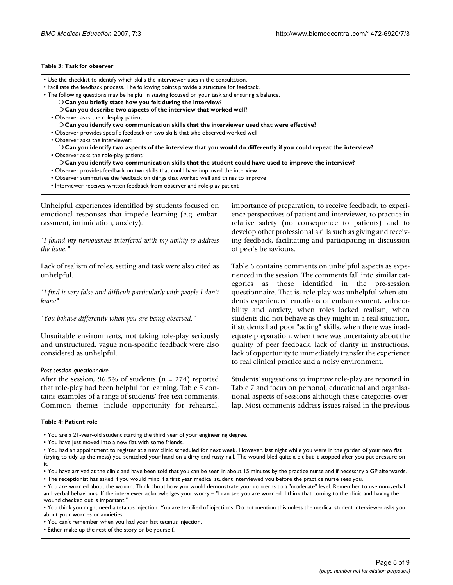#### **Table 3: Task for observer**

- Use the checklist to identify which skills the interviewer uses in the consultation.
- Facilitate the feedback process. The following points provide a structure for feedback.
- The following questions may be helpful in staying focused on your task and ensuring a balance.
	- ❍ **Can you briefly state how you felt during the interview**?
	- ❍ **Can you describe two aspects of the interview that worked well?**
	- Observer asks the role-play patient:
	- ❍ **Can you identify two communication skills that the interviewer used that were effective?**
	- Observer provides specific feedback on two skills that s/he observed worked well
	- Observer asks the interviewer:
	- ❍ **Can you identify two aspects of the interview that you would do differently if you could repeat the interview?** • Observer asks the role-play patient:
	- ❍ **Can you identify two communication skills that the student could have used to improve the interview?**
	- Observer provides feedback on two skills that could have improved the interview
	- Observer summarises the feedback on things that worked well and things to improve
	- Interviewer receives written feedback from observer and role-play patient

Unhelpful experiences identified by students focused on emotional responses that impede learning (e.g. embarrassment, intimidation, anxiety).

*"I found my nervousness interfered with my ability to address the issue."*

Lack of realism of roles, setting and task were also cited as unhelpful.

*"I find it very false and difficult particularly with people I don't know"*

*"You behave differently when you are being observed."*

Unsuitable environments, not taking role-play seriously and unstructured, vague non-specific feedback were also considered as unhelpful.

#### *Post-session questionnaire*

After the session, 96.5% of students ( $n = 274$ ) reported that role-play had been helpful for learning. Table 5 contains examples of a range of students' free text comments. Common themes include opportunity for rehearsal,

importance of preparation, to receive feedback, to experience perspectives of patient and interviewer, to practice in relative safety (no consequence to patients) and to develop other professional skills such as giving and receiving feedback, facilitating and participating in discussion of peer's behaviours.

Table 6 contains comments on unhelpful aspects as experienced in the session. The comments fall into similar categories as those identified in the pre-session questionnaire. That is, role-play was unhelpful when students experienced emotions of embarrassment, vulnerability and anxiety, when roles lacked realism, when students did not behave as they might in a real situation, if students had poor "acting" skills, when there was inadequate preparation, when there was uncertainty about the quality of peer feedback, lack of clarity in instructions, lack of opportunity to immediately transfer the experience to real clinical practice and a noisy environment.

Students' suggestions to improve role-play are reported in Table 7 and focus on personal, educational and organisational aspects of sessions although these categories overlap. Most comments address issues raised in the previous

#### **Table 4: Patient role**

• You are a 21-year-old student starting the third year of your engineering degree.

• You have just moved into a new flat with some friends.

• You have arrived at the clinic and have been told that you can be seen in about 15 minutes by the practice nurse and if necessary a GP afterwards.

• The receptionist has asked if you would mind if a first year medical student interviewed you before the practice nurse sees you. • You are worried about the wound. Think about how you would demonstrate your concerns to a "moderate" level. Remember to use non-verbal and verbal behaviours. If the interviewer acknowledges your worry – "I can see you are worried. I think that coming to the clinic and having the wound checked out is important."

• You think you might need a tetanus injection. You are terrified of injections. Do not mention this unless the medical student interviewer asks you about your worries or anxieties.

• You can't remember when you had your last tetanus injection.

• Either make up the rest of the story or be yourself.

<sup>•</sup> You had an appointment to register at a new clinic scheduled for next week. However, last night while you were in the garden of your new flat (trying to tidy up the mess) you scratched your hand on a dirty and rusty nail. The wound bled quite a bit but it stopped after you put pressure on it.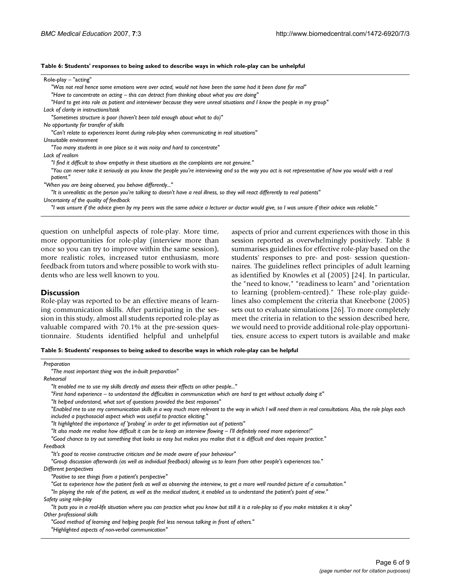#### **Table 6: Students' responses to being asked to describe ways in which role-play can be unhelpful**

| Role-play - "acting"                                                                                                                                               |
|--------------------------------------------------------------------------------------------------------------------------------------------------------------------|
| "Was not real hence some emotions were over acted, would not have been the same had it been done for real"                                                         |
| "Have to concentrate on acting $-$ this can detract from thinking about what you are doing"                                                                        |
| "Hard to get into role as patient and interviewer because they were unreal situations and I know the people in my group"                                           |
| Lack of clarity in instructions/task                                                                                                                               |
| "Sometimes structure is poor (haven't been told enough about what to do)"                                                                                          |
| No opportunity for transfer of skills                                                                                                                              |
| "Can't relate to experiences learnt during role-play when communicating in real situations"                                                                        |
| Unsuitable environment                                                                                                                                             |
| "Too many students in one place so it was noisy and hard to concentrate"                                                                                           |
| Lack of realism                                                                                                                                                    |
| "I find it difficult to show empathy in these situations as the complaints are not genuine."                                                                       |
| "You can never take it seriously as you know the people you're interviewing and so the way you act is not representative of how you would with a real<br>batient." |
| "When you are being observed, you behave differently"                                                                                                              |
| "It is unrealistic as the person you're talking to doesn't have a real illness, so they will react differently to real patients"                                   |
| Uncertainty of the quality of feedback                                                                                                                             |
| "I was unsure if the advice given by my peers was the same advice a lecturer or doctor would give, so I was unsure if their advice was reliable."                  |

question on unhelpful aspects of role-play. More time, more opportunities for role-play (interview more than once so you can try to improve within the same session), more realistic roles, increased tutor enthusiasm, more feedback from tutors and where possible to work with students who are less well known to you.

#### **Discussion**

Role-play was reported to be an effective means of learning communication skills. After participating in the session in this study, almost all students reported role-play as valuable compared with 70.1% at the pre-session questionnaire. Students identified helpful and unhelpful aspects of prior and current experiences with those in this session reported as overwhelmingly positively. Table 8 summarises guidelines for effective role-play based on the students' responses to pre- and post- session questionnaires. The guidelines reflect principles of adult learning as identified by Knowles et al (2005) [24]. In particular, the "need to know," "readiness to learn" and "orientation to learning (problem-centred)." These role-play guidelines also complement the criteria that Kneebone (2005) sets out to evaluate simulations [26]. To more completely meet the criteria in relation to the session described here, we would need to provide additional role-play opportunities, ensure access to expert tutors is available and make

**Table 5: Students' responses to being asked to describe ways in which role-play can be helpful**

*Preparation*

*"The most important thing was the in-built preparation"*

*Rehearsal*

*"It enabled me to use my skills directly and assess their effects on other people..."*

*"First hand experience – to understand the difficulties in communication which are hard to get without actually doing it"*

*"It helped understand, what sort of questions provided the best responses"*

*"Enabled me to use my communication skills in a way much more relevant to the way in which I will need them in real consultations. Also, the role plays each included a psychosocial aspect which was useful to practice eliciting."*

*"It highlighted the importance of 'probing' in order to get information out of patients"*

*"It also made me realise how difficult it can be to keep an interview flowing – I'll definitely need more experience!"*

*"Good chance to try out something that looks so easy but makes you realise that it is difficult and does require practice."*

*Feedback*

*"It's good to receive constructive criticism and be made aware of your behaviour"*

*"Group discussion afterwards (as well as individual feedback) allowing us to learn from other people's experiences too."*

*Different perspectives*

*"Positive to see things from a patient's perspective"*

*"Got to experience how the patient feels as well as observing the interview, to get a more well rounded picture of a consultation."*

*"In playing the role of the patient, as well as the medical student, it enabled us to understand the patient's point of view."*

*Safety using role-play*

*"It puts you in a real-life situation where you can practice what you know but still it is a role-play so if you make mistakes it is okay" Other professional skills*

*"Good method of learning and helping people feel less nervous talking in front of others."*

*"Highlighted aspects of non-verbal communication"*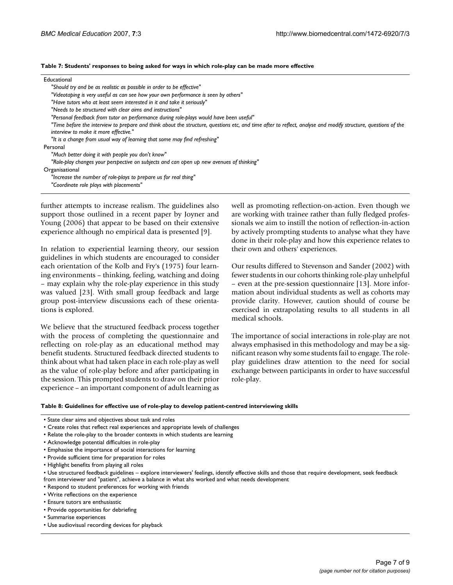|  |  |  |  | Table 7: Students' responses to being asked for ways in which role-play can be made more effective |
|--|--|--|--|----------------------------------------------------------------------------------------------------|
|--|--|--|--|----------------------------------------------------------------------------------------------------|

| Educational                                                                                                                                                                                            |
|--------------------------------------------------------------------------------------------------------------------------------------------------------------------------------------------------------|
| "Should try and be as realistic as possible in order to be effective"                                                                                                                                  |
| "Videotaping is very useful as can see how your own performance is seen by others"                                                                                                                     |
| "Have tutors who at least seem interested in it and take it seriously"                                                                                                                                 |
| "Needs to be structured with clear aims and instructions"                                                                                                                                              |
| "Personal feedback from tutor on performance during role-plays would have been useful"                                                                                                                 |
| "Time before the interview to prepare and think about the structure, questions etc, and time after to reflect, analyse and modify structure, questions of the<br>interview to make it more effective." |
| "It is a change from usual way of learning that some may find refreshing"                                                                                                                              |
| Personal                                                                                                                                                                                               |
| "Much better doing it with people you don't know"                                                                                                                                                      |
| "Role-play changes your perspective on subjects and can open up new avenues of thinking"                                                                                                               |
| Organisational                                                                                                                                                                                         |
| "Increase the number of role-plays to prepare us for real thing"                                                                                                                                       |
| "Coordinate role plays with placements"                                                                                                                                                                |

further attempts to increase realism. The guidelines also support those outlined in a recent paper by Joyner and Young (2006) that appear to be based on their extensive experience although no empirical data is presented [9].

In relation to experiential learning theory, our session guidelines in which students are encouraged to consider each orientation of the Kolb and Fry's (1975) four learning environments – thinking, feeling, watching and doing – may explain why the role-play experience in this study was valued [23]. With small group feedback and large group post-interview discussions each of these orientations is explored.

We believe that the structured feedback process together with the process of completing the questionnaire and reflecting on role-play as an educational method may benefit students. Structured feedback directed students to think about what had taken place in each role-play as well as the value of role-play before and after participating in the session. This prompted students to draw on their prior experience – an important component of adult learning as

well as promoting reflection-on-action. Even though we are working with trainee rather than fully fledged professionals we aim to instill the notion of reflection-in-action by actively prompting students to analyse what they have done in their role-play and how this experience relates to their own and others' experiences.

Our results differed to Stevenson and Sander (2002) with fewer students in our cohorts thinking role-play unhelpful – even at the pre-session questionnaire [13]. More information about individual students as well as cohorts may provide clarity. However, caution should of course be exercised in extrapolating results to all students in all medical schools.

The importance of social interactions in role-play are not always emphasised in this methodology and may be a significant reason why some students fail to engage. The roleplay guidelines draw attention to the need for social exchange between participants in order to have successful role-play.

#### **Table 8: Guidelines for effective use of role-play to develop patient-centred interviewing skills**

• State clear aims and objectives about task and roles

- Create roles that reflect real experiences and appropriate levels of challenges
- Relate the role-play to the broader contexts in which students are learning
- Acknowledge potential difficulties in role-play
- Emphasise the importance of social interactions for learning
- Provide sufficient time for preparation for roles
- Highlight benefits from playing all roles
- Use structured feedback guidelines explore interviewers' feelings, identify effective skills and those that require development, seek feedback from interviewer and "patient", achieve a balance in what ahs worked and what needs development
- Respond to student preferences for working with friends
- Write reflections on the experience
- Ensure tutors are enthusiastic
- Provide opportunities for debriefing
- Summarise experiences
- Use audiovisual recording devices for playback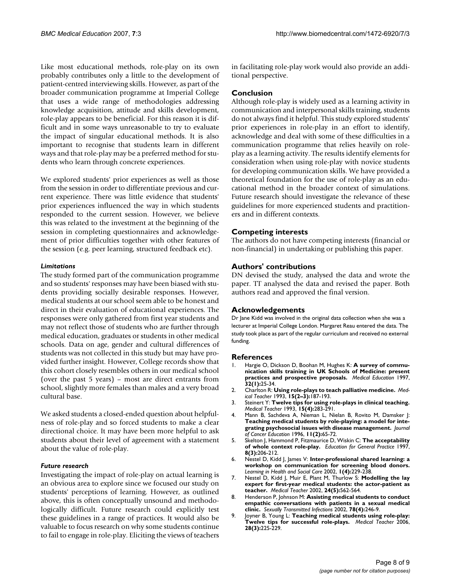Like most educational methods, role-play on its own probably contributes only a little to the development of patient-centred interviewing skills. However, as part of the broader communication programme at Imperial College that uses a wide range of methodologies addressing knowledge acquisition, attitude and skills development, role-play appears to be beneficial. For this reason it is difficult and in some ways unreasonable to try to evaluate the impact of singular educational methods. It is also important to recognise that students learn in different ways and that role-play may be a preferred method for students who learn through concrete experiences.

We explored students' prior experiences as well as those from the session in order to differentiate previous and current experience. There was little evidence that students' prior experiences influenced the way in which students responded to the current session. However, we believe this was related to the investment at the beginning of the session in completing questionnaires and acknowledgement of prior difficulties together with other features of the session (e.g. peer learning, structured feedback etc).

#### *Limitations*

The study formed part of the communication programme and so students' responses may have been biased with students providing socially desirable responses. However, medical students at our school seem able to be honest and direct in their evaluation of educational experiences. The responses were only gathered from first year students and may not reflect those of students who are further through medical education, graduates or students in other medical schools. Data on age, gender and cultural differences of students was not collected in this study but may have provided further insight. However, College records show that this cohort closely resembles others in our medical school (over the past 5 years) – most are direct entrants from school, slightly more females than males and a very broad cultural base.

We asked students a closed-ended question about helpfulness of role-play and so forced students to make a clear directional choice. It may have been more helpful to ask students about their level of agreement with a statement about the value of role-play.

#### *Future research*

Investigating the impact of role-play on actual learning is an obvious area to explore since we focused our study on students' perceptions of learning. However, as outlined above, this is often conceptually unsound and methodologically difficult. Future research could explicitly test these guidelines in a range of practices. It would also be valuable to focus research on why some students continue to fail to engage in role-play. Eliciting the views of teachers

in facilitating role-play work would also provide an additional perspective.

#### **Conclusion**

Although role-play is widely used as a learning activity in communication and interpersonal skills training, students do not always find it helpful. This study explored students' prior experiences in role-play in an effort to identify, acknowledge and deal with some of these difficulties in a communication programme that relies heavily on roleplay as a learning activity. The results identify elements for consideration when using role-play with novice students for developing communication skills. We have provided a theoretical foundation for the use of role-play as an educational method in the broader context of simulations. Future research should investigate the relevance of these guidelines for more experienced students and practitioners and in different contexts.

#### **Competing interests**

The authors do not have competing interests (financial or non-financial) in undertaking or publishing this paper.

#### **Authors' contributions**

DN devised the study, analysed the data and wrote the paper. TT analysed the data and revised the paper. Both authors read and approved the final version.

#### **Acknowledgements**

Dr Jane Kidd was involved in the original data collection when she was a lecturer at Imperial College London. Margaret Reau entered the data. The study took place as part of the regular curriculum and received no external funding.

#### **References**

- Hargie O, Dickson D, Boohan M, Hughes K: A survey of commu**nication skills training in UK Schools of Medicine: present practices and prospective proposals.** *Medical Education* 1997, **32(1):**25-34.
- 2. Charlton R: **[Using role-plays to teach palliative medicine.](http://www.ncbi.nlm.nih.gov/entrez/query.fcgi?cmd=Retrieve&db=PubMed&dopt=Abstract&list_uids=7504156)** *Medical Teacher* 1993, **15(2–3):**187-193.
- 3. Steinert Y: **[Twelve tips for using role-plays in clinical teaching.](http://www.ncbi.nlm.nih.gov/entrez/query.fcgi?cmd=Retrieve&db=PubMed&dopt=Abstract&list_uids=8139402)** *Medical Teacher* 1993, **15(4):**283-291.
- 4. Mann B, Sachdeva A, Nieman L, Nielan B, Rovito M, Damsker J: **[Teaching medical students by role-playing: a model for inte](http://www.ncbi.nlm.nih.gov/entrez/query.fcgi?cmd=Retrieve&db=PubMed&dopt=Abstract&list_uids=8793645)[grating psychosocial issues with disease management.](http://www.ncbi.nlm.nih.gov/entrez/query.fcgi?cmd=Retrieve&db=PubMed&dopt=Abstract&list_uids=8793645)** *Journal of Cancer Education* 1996, **11(2):**65-72.
- 5. Skelton J, Hammond P, Fitzmaurice D, Wiskin C: **The acceptability of whole context role-play.** *Education for General Practice* 1997, **8(3):**206-212.
- 6. Nestel D, Kidd J, James V: **Inter-professional shared learning: a workshop on communication for screening blood donors.** *Learning in Health and Social Care* 2002, **1(4):**229-238.
- 7. Nestel D, Kidd J, Muir E, Plant M, Thurlow S: **[Modelling the lay](http://www.ncbi.nlm.nih.gov/entrez/query.fcgi?cmd=Retrieve&db=PubMed&dopt=Abstract&list_uids=12450482) [expert for first-year medical students: the actor-patient as](http://www.ncbi.nlm.nih.gov/entrez/query.fcgi?cmd=Retrieve&db=PubMed&dopt=Abstract&list_uids=12450482) [teacher.](http://www.ncbi.nlm.nih.gov/entrez/query.fcgi?cmd=Retrieve&db=PubMed&dopt=Abstract&list_uids=12450482)** *Medical Teacher* 2002, **24(5):**562-564.
- 8. Henderson P, Johnson M: **[Assisting medical students to conduct](http://www.ncbi.nlm.nih.gov/entrez/query.fcgi?cmd=Retrieve&db=PubMed&dopt=Abstract&list_uids=12181460) [empathic conversations with patients in a sexual medical](http://www.ncbi.nlm.nih.gov/entrez/query.fcgi?cmd=Retrieve&db=PubMed&dopt=Abstract&list_uids=12181460) [clinic.](http://www.ncbi.nlm.nih.gov/entrez/query.fcgi?cmd=Retrieve&db=PubMed&dopt=Abstract&list_uids=12181460)** *Sexually Transmitted Infections* 2002, **78(4):**246-9.
- 9. Joyner B, Young L: **[Teaching medical students using role-play:](http://www.ncbi.nlm.nih.gov/entrez/query.fcgi?cmd=Retrieve&db=PubMed&dopt=Abstract&list_uids=16753719) [Twelve tips for successful role-plays.](http://www.ncbi.nlm.nih.gov/entrez/query.fcgi?cmd=Retrieve&db=PubMed&dopt=Abstract&list_uids=16753719)** *Medical Teacher* 2006, **28(3):**225-229.